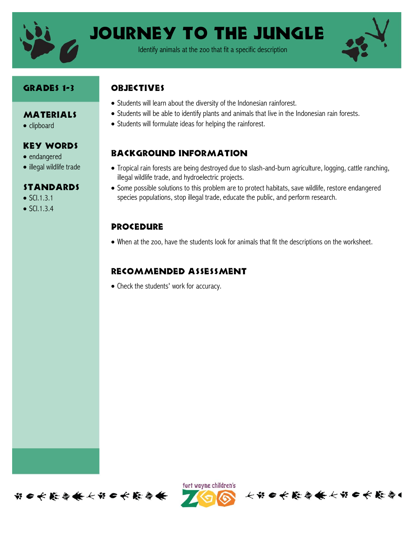

Journey to the Jungle

Identify animals at the zoo that fit a specific description



#### Grades 1-3

MATERIALS

Key Words

• illegal wildlife trade

Standards

• clipboard

• endangered

 $\bullet$  SCI.1.3.1  $\bullet$  SCI.1.3.4

## **OBJECTIVES**

- Students will learn about the diversity of the Indonesian rainforest.
- Students will be able to identify plants and animals that live in the Indonesian rain forests.
- Students will formulate ideas for helping the rainforest.

# Background information

- Tropical rain forests are being destroyed due to slash-and-burn agriculture, logging, cattle ranching, illegal wildlife trade, and hydroelectric projects.
- Some possible solutions to this problem are to protect habitats, save wildlife, restore endangered species populations, stop illegal trade, educate the public, and perform research.

### **PROCEDURE**

When at the zoo, have the students look for animals that fit the descriptions on the worksheet.

## Recommended assessment

• Check the students' work for accuracy.





长节 6 长能参长长节 6 长能参1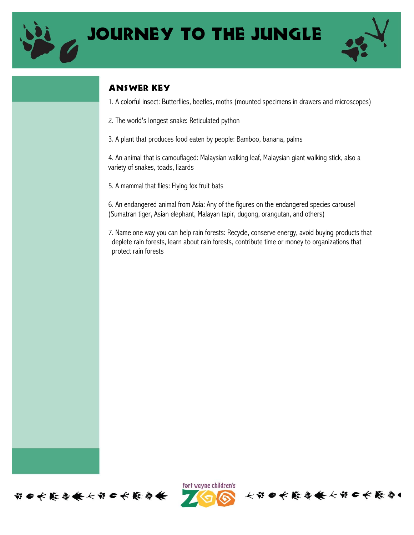



## Answer Key

1. A colorful insect: Butterflies, beetles, moths (mounted specimens in drawers and microscopes)

2. The world's longest snake: Reticulated python

3. A plant that produces food eaten by people: Bamboo, banana, palms

4. An animal that is camouflaged: Malaysian walking leaf, Malaysian giant walking stick, also a variety of snakes, toads, lizards

5. A mammal that flies: Flying fox fruit bats

6. An endangered animal from Asia: Any of the figures on the endangered species carousel (Sumatran tiger, Asian elephant, Malayan tapir, dugong, orangutan, and others)

7. Name one way you can help rain forests: Recycle, conserve energy, avoid buying products that deplete rain forests, learn about rain forests, contribute time or money to organizations that protect rain forests





个出自长能停条长出自长能停